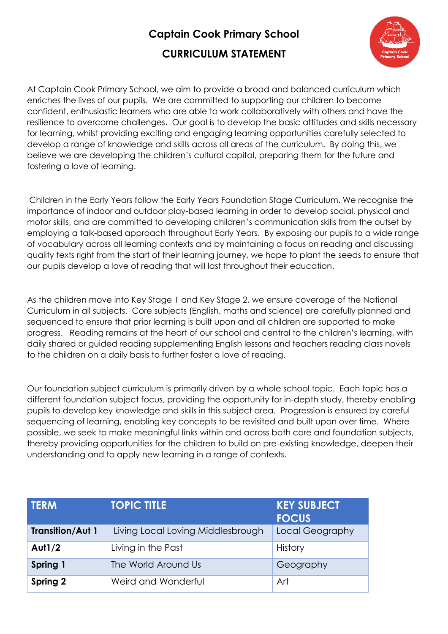## **Captain Cook Primary School**

## **CURRICULUM STATEMENT**



At Captain Cook Primary School, we aim to provide a broad and balanced curriculum which enriches the lives of our pupils. We are committed to supporting our children to become confident, enthusiastic learners who are able to work collaboratively with others and have the resilience to overcome challenges. Our goal is to develop the basic attitudes and skills necessary for learning, whilst providing exciting and engaging learning opportunities carefully selected to develop a range of knowledge and skills across all areas of the curriculum. By doing this, we believe we are developing the children's cultural capital, preparing them for the future and fostering a love of learning.

Children in the Early Years follow the Early Years Foundation Stage Curriculum. We recognise the importance of indoor and outdoor play-based learning in order to develop social, physical and motor skills, and are committed to developing children's communication skills from the outset by employing a talk-based approach throughout Early Years. By exposing our pupils to a wide range of vocabulary across all learning contexts and by maintaining a focus on reading and discussing quality texts right from the start of their learning journey, we hope to plant the seeds to ensure that our pupils develop a love of reading that will last throughout their education.

As the children move into Key Stage 1 and Key Stage 2, we ensure coverage of the National Curriculum in all subjects. Core subjects (English, maths and science) are carefully planned and sequenced to ensure that prior learning is built upon and all children are supported to make progress. Reading remains at the heart of our school and central to the children's learning, with daily shared or guided reading supplementing English lessons and teachers reading class novels to the children on a daily basis to further foster a love of reading.

Our foundation subject curriculum is primarily driven by a whole school topic. Each topic has a different foundation subject focus, providing the opportunity for in-depth study, thereby enabling pupils to develop key knowledge and skills in this subject area. Progression is ensured by careful sequencing of learning, enabling key concepts to be revisited and built upon over time. Where possible, we seek to make meaningful links within and across both core and foundation subjects, thereby providing opportunities for the children to build on pre-existing knowledge, deepen their understanding and to apply new learning in a range of contexts.

| <b>TERM</b>             | <b>TOPIC TITLE</b>                | <b>KEY SUBJECT</b><br><b>FOCUS</b> |
|-------------------------|-----------------------------------|------------------------------------|
| <b>Transition/Aut 1</b> | Living Local Loving Middlesbrough | Local Geography                    |
| <b>Aut1/2</b>           | Living in the Past                | <b>History</b>                     |
| Spring 1                | The World Around Us               | Geography                          |
| Spring 2                | Weird and Wonderful               | Art                                |